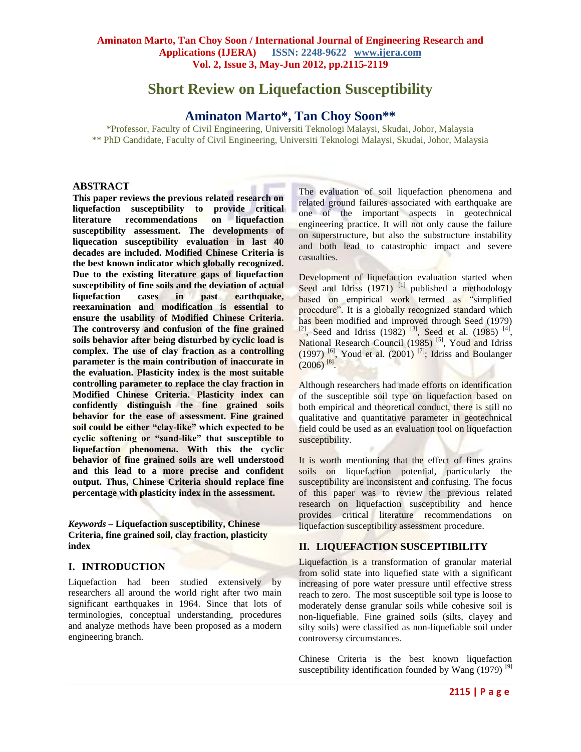# **Short Review on Liquefaction Susceptibility**

## **Aminaton Marto\*, Tan Choy Soon\*\***

\*Professor, Faculty of Civil Engineering, Universiti Teknologi Malaysi, Skudai, Johor, Malaysia \*\* PhD Candidate, Faculty of Civil Engineering, Universiti Teknologi Malaysi, Skudai, Johor, Malaysia

#### **ABSTRACT**

**This paper reviews the previous related research on liquefaction susceptibility to provide critical literature recommendations on liquefaction susceptibility assessment. The developments of liquecation susceptibility evaluation in last 40 decades are included. Modified Chinese Criteria is the best known indicator which globally recognized. Due to the existing literature gaps of liquefaction susceptibility of fine soils and the deviation of actual liquefaction cases in past earthquake, reexamination and modification is essential to ensure the usability of Modified Chinese Criteria. The controversy and confusion of the fine grained soils behavior after being disturbed by cyclic load is complex. The use of clay fraction as a controlling parameter is the main contribution of inaccurate in the evaluation. Plasticity index is the most suitable controlling parameter to replace the clay fraction in Modified Chinese Criteria. Plasticity index can confidently distinguish the fine grained soils behavior for the ease of assessment. Fine grained soil could be either "clay-like" which expected to be cyclic softening or "sand-like" that susceptible to liquefaction phenomena. With this the cyclic behavior of fine grained soils are well understood and this lead to a more precise and confident output. Thus, Chinese Criteria should replace fine percentage with plasticity index in the assessment.**

*Keywords* **– Liquefaction susceptibility, Chinese Criteria, fine grained soil, clay fraction, plasticity index**

## **I. INTRODUCTION**

Liquefaction had been studied extensively by researchers all around the world right after two main significant earthquakes in 1964. Since that lots of terminologies, conceptual understanding, procedures and analyze methods have been proposed as a modern engineering branch.

The evaluation of soil liquefaction phenomena and related ground failures associated with earthquake are one of the important aspects in geotechnical engineering practice. It will not only cause the failure on superstructure, but also the substructure instability and both lead to catastrophic impact and severe casualties.

Development of liquefaction evaluation started when Seed and Idriss  $(1971)$ <sup>[1]</sup> published a methodology based on empirical work termed as "simplified procedure". It is a globally recognized standard which has been modified and improved through Seed (1979)  $^{[2]}$ , Seed and Idriss (1982)<sup>[3]</sup>, Seed et al. (1985)<sup>[4]</sup>, National Research Council (1985)<sup>[5]</sup>, Youd and Idriss  $(1997)$  <sup>[6]</sup>, Youd et al.  $(2001)$ <sup>[7]</sup>; Idriss and Boulanger  $(2006)^{8}$ .

Although researchers had made efforts on identification of the susceptible soil type on liquefaction based on both empirical and theoretical conduct, there is still no qualitative and quantitative parameter in geotechnical field could be used as an evaluation tool on liquefaction susceptibility.

It is worth mentioning that the effect of fines grains soils on liquefaction potential, particularly the susceptibility are inconsistent and confusing. The focus of this paper was to review the previous related research on liquefaction susceptibility and hence provides critical literature recommendations on liquefaction susceptibility assessment procedure.

## **II. LIQUEFACTION SUSCEPTIBILITY**

Liquefaction is a transformation of granular material from solid state into liquefied state with a significant increasing of pore water pressure until effective stress reach to zero. The most susceptible soil type is loose to moderately dense granular soils while cohesive soil is non-liquefiable. Fine grained soils (silts, clayey and silty soils) were classified as non-liquefiable soil under controversy circumstances.

Chinese Criteria is the best known liquefaction susceptibility identification founded by Wang  $(1979)$ <sup>[9]</sup>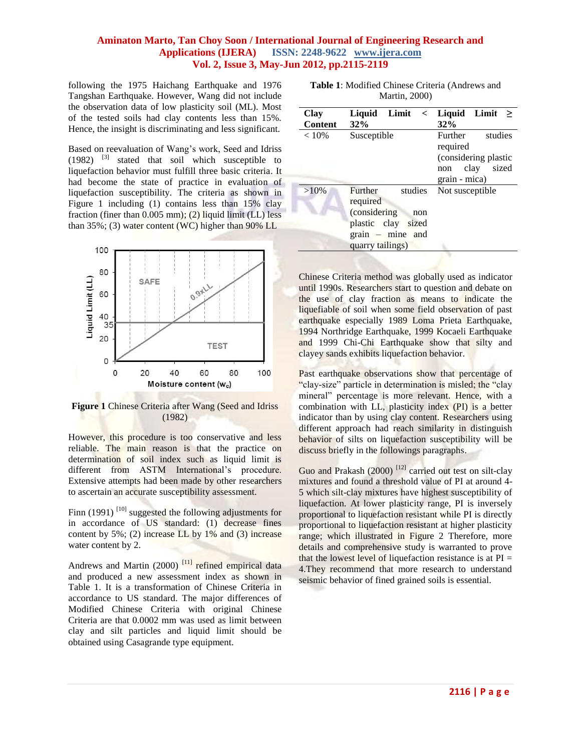following the 1975 Haichang Earthquake and 1976 Tangshan Earthquake. However, Wang did not include the observation data of low plasticity soil (ML). Most of the tested soils had clay contents less than 15%. Hence, the insight is discriminating and less significant.

Based on reevaluation of Wang's work, Seed and Idriss  $(1982)$  <sup>[3]</sup> stated that soil which susceptible to liquefaction behavior must fulfill three basic criteria. It had become the state of practice in evaluation of liquefaction susceptibility. The criteria as shown in Figure 1 including (1) contains less than 15% clay fraction (finer than 0.005 mm); (2) liquid limit (LL) less than 35%; (3) water content (WC) higher than 90% LL



**Figure 1** Chinese Criteria after Wang (Seed and Idriss (1982)

However, this procedure is too conservative and less reliable. The main reason is that the practice on determination of soil index such as liquid limit is different from ASTM International's procedure. Extensive attempts had been made by other researchers to ascertain an accurate susceptibility assessment.

Finn (1991)<sup>[10]</sup> suggested the following adjustments for in accordance of US standard: (1) decrease fines content by  $5\%$ ; (2) increase LL by  $1\%$  and (3) increase water content by 2.

Andrews and Martin (2000)<sup>[11]</sup> refined empirical data and produced a new assessment index as shown in Table 1. It is a transformation of Chinese Criteria in accordance to US standard. The major differences of Modified Chinese Criteria with original Chinese Criteria are that 0.0002 mm was used as limit between clay and silt particles and liquid limit should be obtained using Casagrande type equipment.

| Table 1: Modified Chinese Criteria (Andrews and |
|-------------------------------------------------|
| <b>Martin</b> , 2000)                           |

| <b>Clay</b><br><b>Content</b> | Liquid Limit $\langle$<br>32%                                                                                          | Liquid Limit<br>><br>32%                                                                        |
|-------------------------------|------------------------------------------------------------------------------------------------------------------------|-------------------------------------------------------------------------------------------------|
| < 10%                         | Susceptible                                                                                                            | Further<br>studies<br>required<br>(considering plastic<br>sized<br>clay<br>non<br>grain - mica) |
| $>10\%$                       | studies<br>Further<br>required<br>(considering)<br>non<br>plastic clay sized<br>$grain$ – mine and<br>quarry tailings) | Not susceptible                                                                                 |

Chinese Criteria method was globally used as indicator until 1990s. Researchers start to question and debate on the use of clay fraction as means to indicate the liquefiable of soil when some field observation of past earthquake especially 1989 Loma Prieta Earthquake, 1994 Northridge Earthquake, 1999 Kocaeli Earthquake and 1999 Chi-Chi Earthquake show that silty and clayey sands exhibits liquefaction behavior.

Past earthquake observations show that percentage of "clay-size" particle in determination is misled; the "clay mineral" percentage is more relevant. Hence, with a combination with LL, plasticity index (PI) is a better indicator than by using clay content. Researchers using different approach had reach similarity in distinguish behavior of silts on liquefaction susceptibility will be discuss briefly in the followings paragraphs.

Guo and Prakash  $(2000)$ <sup>[12]</sup> carried out test on silt-clay mixtures and found a threshold value of PI at around 4- 5 which silt-clay mixtures have highest susceptibility of liquefaction. At lower plasticity range, PI is inversely proportional to liquefaction resistant while PI is directly proportional to liquefaction resistant at higher plasticity range; which illustrated in Figure 2 Therefore, more details and comprehensive study is warranted to prove that the lowest level of liquefaction resistance is at  $PI =$ 4.They recommend that more research to understand seismic behavior of fined grained soils is essential.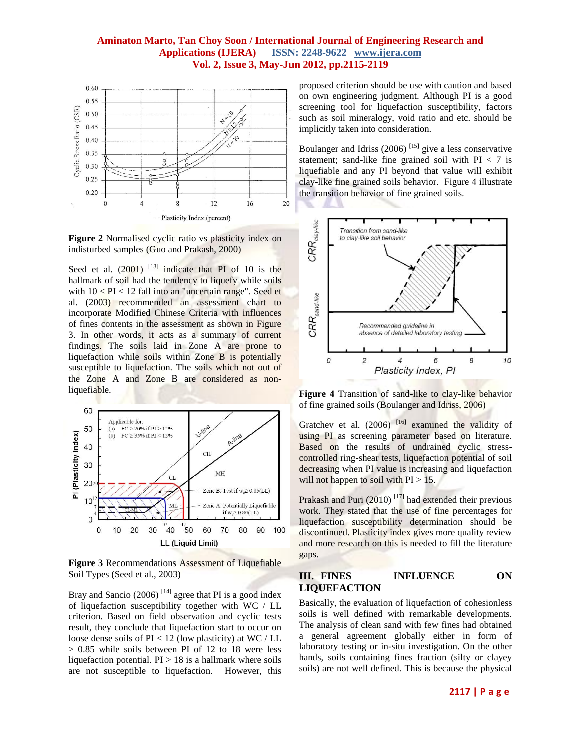

**Figure 2** Normalised cyclic ratio vs plasticity index on indisturbed samples (Guo and Prakash, 2000)

Seed et al.  $(2001)$ <sup>[13]</sup> indicate that PI of 10 is the hallmark of soil had the tendency to liquefy while soils with  $10 < PI < 12$  fall into an "uncertain range". Seed et al. (2003) recommended an assessment chart to incorporate Modified Chinese Criteria with influences of fines contents in the assessment as shown in Figure 3. In other words, it acts as a summary of current findings. The soils laid in Zone A are prone to liquefaction while soils within Zone B is potentially susceptible to liquefaction. The soils which not out of the Zone A and Zone B are considered as nonliquefiable.



**Figure 3** Recommendations Assessment of Liquefiable Soil Types (Seed et al., 2003)

Bray and Sancio  $(2006)$ <sup>[14]</sup> agree that PI is a good index of liquefaction susceptibility together with WC / LL criterion. Based on field observation and cyclic tests result, they conclude that liquefaction start to occur on loose dense soils of  $PI < 12$  (low plasticity) at WC / LL  $> 0.85$  while soils between PI of 12 to 18 were less liquefaction potential.  $PI > 18$  is a hallmark where soils are not susceptible to liquefaction. However, this

proposed criterion should be use with caution and based on own engineering judgment. Although PI is a good screening tool for liquefaction susceptibility, factors such as soil mineralogy, void ratio and etc. should be implicitly taken into consideration.

Boulanger and Idriss  $(2006)$ <sup>[15]</sup> give a less conservative statement; sand-like fine grained soil with  $PI < 7$  is liquefiable and any PI beyond that value will exhibit clay-like fine grained soils behavior. Figure 4 illustrate the transition behavior of fine grained soils.



**Figure 4** Transition of sand-like to clay-like behavior of fine grained soils (Boulanger and Idriss, 2006)

Gratchev et al.  $(2006)$ <sup>[16]</sup> examined the validity of using PI as screening parameter based on literature. Based on the results of undrained cyclic stresscontrolled ring-shear tests, liquefaction potential of soil decreasing when PI value is increasing and liquefaction will not happen to soil with  $PI > 15$ .

Prakash and Puri  $(2010)$ <sup>[17]</sup> had extended their previous work. They stated that the use of fine percentages for liquefaction susceptibility determination should be discontinued. Plasticity index gives more quality review and more research on this is needed to fill the literature gaps.

## **III. FINES INFLUENCE ON LIQUEFACTION**

Basically, the evaluation of liquefaction of cohesionless soils is well defined with remarkable developments. The analysis of clean sand with few fines had obtained a general agreement globally either in form of laboratory testing or in-situ investigation. On the other hands, soils containing fines fraction (silty or clayey soils) are not well defined. This is because the physical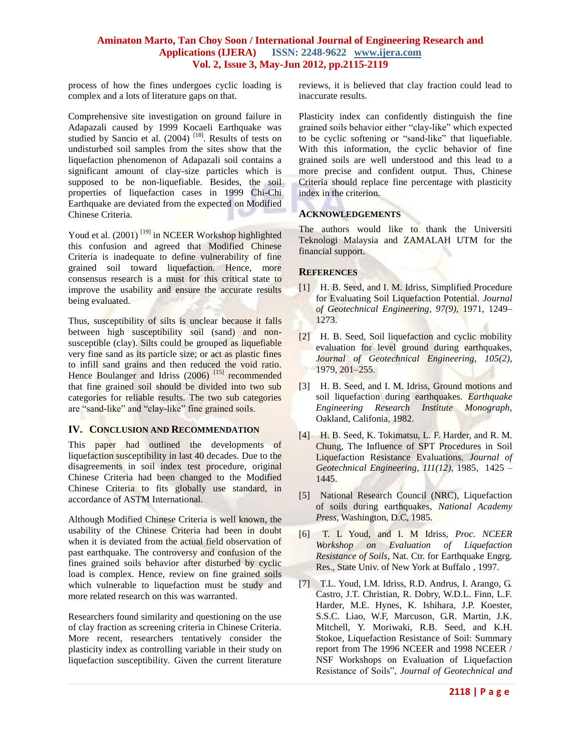process of how the fines undergoes cyclic loading is complex and a lots of literature gaps on that.

Comprehensive site investigation on ground failure in Adapazali caused by 1999 Kocaeli Earthquake was studied by Sancio et al. (2004)<sup>[18]</sup>. Results of tests on undisturbed soil samples from the sites show that the liquefaction phenomenon of Adapazali soil contains a significant amount of clay-size particles which is supposed to be non-liquefiable. Besides, the soil properties of liquefaction cases in 1999 Chi-Chi Earthquake are deviated from the expected on Modified Chinese Criteria.

Youd et al. (2001)<sup>[19]</sup> in NCEER Workshop highlighted this confusion and agreed that Modified Chinese Criteria is inadequate to define vulnerability of fine grained soil toward liquefaction. Hence, more consensus research is a must for this critical state to improve the usability and ensure the accurate results being evaluated.

Thus, susceptibility of silts is unclear because it falls between high susceptibility soil (sand) and nonsusceptible (clay). Silts could be grouped as liquefiable very fine sand as its particle size; or act as plastic fines to infill sand grains and then reduced the void ratio. Hence Boulanger and Idriss (2006)<sup>[15]</sup> recommended that fine grained soil should be divided into two sub categories for reliable results. The two sub categories are "sand-like" and "clay-like" fine grained soils.

#### **IV. CONCLUSION AND RECOMMENDATION**

This paper had outlined the developments of liquefaction susceptibility in last 40 decades. Due to the disagreements in soil index test procedure, original Chinese Criteria had been changed to the Modified Chinese Criteria to fits globally use standard, in accordance of ASTM International.

Although Modified Chinese Criteria is well known, the usability of the Chinese Criteria had been in doubt when it is deviated from the actual field observation of past earthquake. The controversy and confusion of the fines grained soils behavior after disturbed by cyclic load is complex. Hence, review on fine grained soils which vulnerable to liquefaction must be study and more related research on this was warranted.

Researchers found similarity and questioning on the use of clay fraction as screening criteria in Chinese Criteria. More recent, researchers tentatively consider the plasticity index as controlling variable in their study on liquefaction susceptibility. Given the current literature reviews, it is believed that clay fraction could lead to inaccurate results.

Plasticity index can confidently distinguish the fine grained soils behavior either "clay-like" which expected to be cyclic softening or "sand-like" that liquefiable. With this information, the cyclic behavior of fine grained soils are well understood and this lead to a more precise and confident output. Thus, Chinese Criteria should replace fine percentage with plasticity index in the criterion.

## **ACKNOWLEDGEMENTS**

The authors would like to thank the Universiti Teknologi Malaysia and ZAMALAH UTM for the financial support.

## **REFERENCES**

- [1] H. B. Seed, and I. M. Idriss, Simplified Procedure for Evaluating Soil Liquefaction Potential. *Journal of Geotechnical Engineering, 97(9),* 1971, 1249– 1273.
- [2] H. B. Seed, Soil liquefaction and cyclic mobility evaluation for level ground during earthquakes, *Journal of Geotechnical Engineering*, *105(2),* 1979, 201–255.
- [3] H. B. Seed, and I. M. Idriss, Ground motions and soil liquefaction during earthquakes. *Earthquake Engineering Research Institute Monograph,*  Oakland, Califonia, 1982.
- [4] H. B. Seed, K. Tokimatsu, L. F. Harder, and R. M. Chung, The Influence of SPT Procedures in Soil Liquefaction Resistance Evaluations. *Journal of Geotechnical Engineering, 111(12)*, 1985, 1425 – 1445.
- [5] National Research Council (NRC), Liquefaction of soils during earthquakes, *National Academy Press*, Washington, D.C, 1985.
- [6] T. L Youd, and I. M Idriss, *Proc. NCEER Workshop on Evaluation of Liquefaction Resistance of Soils*, Nat. Ctr. for Earthquake Engrg. Res., State Univ. of New York at Buffalo , 1997.
- [7] T.L. Youd, I.M. Idriss, R.D. Andrus, I. Arango, G. Castro, J.T. Christian, R. Dobry, W.D.L. Finn, L.F. Harder, M.E. Hynes, K. Ishihara, J.P. Koester, S.S.C. Liao, W.F, Marcuson, G.R. Martin, J.K. Mitchell, Y. Moriwaki, R.B. Seed, and K.H. Stokoe, Liquefaction Resistance of Soil: Summary report from The 1996 NCEER and 1998 NCEER / NSF Workshops on Evaluation of Liquefaction Resistance of Soils", *Journal of Geotechnical and*